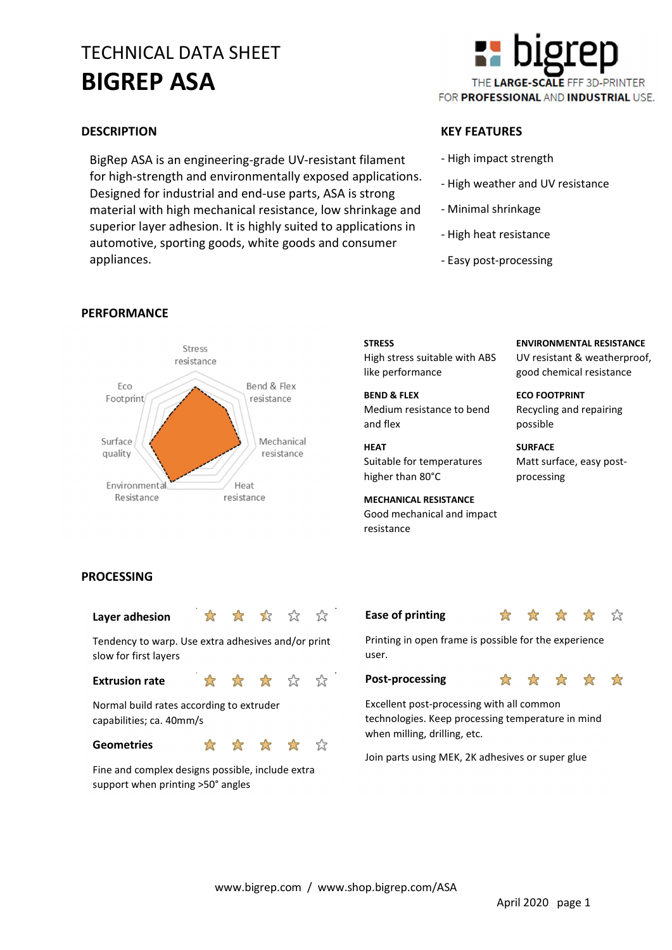# TECHNICAL DATA SHEET BIGREP ASA

BigRep ASA is an engineering-grade UV-resistant filament for high-strength and environmentally exposed applications. Designed for industrial and end-use parts, ASA is strong material with high mechanical resistance, low shrinkage and superior layer adhesion. It is highly suited to applications in automotive, sporting goods, white goods and consumer appliances.



#### DESCRIPTION KEY FEATURES

- High impact strength
- High weather and UV resistance
- Minimal shrinkage
- High heat resistance
- Easy post-processing



#### PERFORMANCE

#### **STRESS** High stress suitable with ABS like performance

BEND & FLEX Medium resistance to bend and flex

### HEAT

Suitable for temperatures higher than 80°C

MECHANICAL RESISTANCE Good mechanical and impact resistance

ENVIRONMENTAL RESISTANCE UV resistant & weatherproof, good chemical resistance

ECO FOOTPRINT Recycling and repairing possible

**SURFACE** Matt surface, easy postprocessing

#### PROCESSING

### Layer adhesion  $\mathbf{\hat{x}} \mathbf{\hat{x}} \mathbf{\hat{x}}$

Tendency to warp. Use extra adhesives and/or print slow for first layers

#### Extrusion rate  $\sqrt{x}$

Normal build rates according to extruder capabilities; ca. 40mm/s

#### Geometries  $\overrightarrow{\mathbf{x}}$   $\overrightarrow{\mathbf{x}}$

☆

Fine and complex designs possible, include extra support when printing >50° angles





Printing in open frame is possible for the experience user.

#### Post-processing  $\mathbf{\hat{x}} \times \mathbf{\hat{x}} \times \mathbf{\hat{x}}$

Excellent post-processing with all common

technologies. Keep processing temperature in mind when milling, drilling, etc.

Join parts using MEK, 2K adhesives or super glue

☆

☆

☆